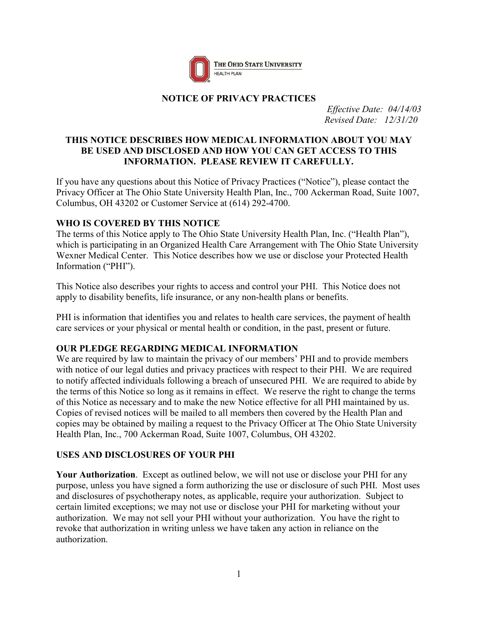

### **NOTICE OF PRIVACY PRACTICES**

*Effective Date: 04/14/03 Revised Date: 12/31/20*

### **THIS NOTICE DESCRIBES HOW MEDICAL INFORMATION ABOUT YOU MAY BE USED AND DISCLOSED AND HOW YOU CAN GET ACCESS TO THIS INFORMATION. PLEASE REVIEW IT CAREFULLY.**

If you have any questions about this Notice of Privacy Practices ("Notice"), please contact the Privacy Officer at The Ohio State University Health Plan, Inc., 700 Ackerman Road, Suite 1007, Columbus, OH 43202 or Customer Service at (614) 292-4700.

### **WHO IS COVERED BY THIS NOTICE**

The terms of this Notice apply to The Ohio State University Health Plan, Inc. ("Health Plan"), which is participating in an Organized Health Care Arrangement with The Ohio State University Wexner Medical Center. This Notice describes how we use or disclose your Protected Health Information ("PHI").

This Notice also describes your rights to access and control your PHI. This Notice does not apply to disability benefits, life insurance, or any non-health plans or benefits.

PHI is information that identifies you and relates to health care services, the payment of health care services or your physical or mental health or condition, in the past, present or future.

## **OUR PLEDGE REGARDING MEDICAL INFORMATION**

We are required by law to maintain the privacy of our members' PHI and to provide members with notice of our legal duties and privacy practices with respect to their PHI. We are required to notify affected individuals following a breach of unsecured PHI. We are required to abide by the terms of this Notice so long as it remains in effect. We reserve the right to change the terms of this Notice as necessary and to make the new Notice effective for all PHI maintained by us. Copies of revised notices will be mailed to all members then covered by the Health Plan and copies may be obtained by mailing a request to the Privacy Officer at The Ohio State University Health Plan, Inc., 700 Ackerman Road, Suite 1007, Columbus, OH 43202.

## **USES AND DISCLOSURES OF YOUR PHI**

**Your Authorization**. Except as outlined below, we will not use or disclose your PHI for any purpose, unless you have signed a form authorizing the use or disclosure of such PHI. Most uses and disclosures of psychotherapy notes, as applicable, require your authorization. Subject to certain limited exceptions; we may not use or disclose your PHI for marketing without your authorization. We may not sell your PHI without your authorization. You have the right to revoke that authorization in writing unless we have taken any action in reliance on the authorization.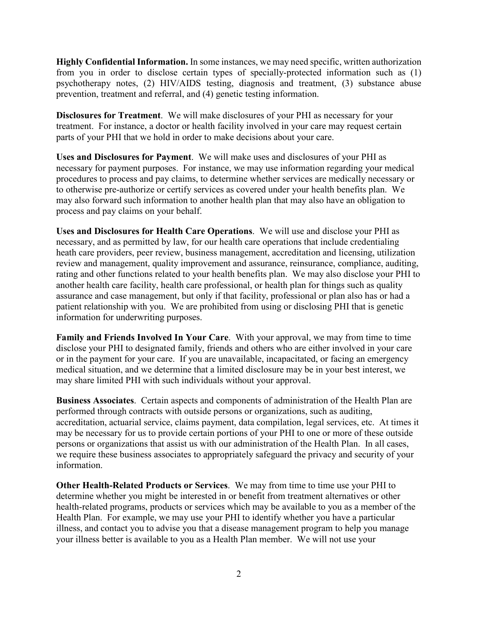**Highly Confidential Information.** In some instances, we may need specific, written authorization from you in order to disclose certain types of specially-protected information such as (1) psychotherapy notes, (2) HIV/AIDS testing, diagnosis and treatment, (3) substance abuse prevention, treatment and referral, and (4) genetic testing information.

**Disclosures for Treatment**. We will make disclosures of your PHI as necessary for your treatment. For instance, a doctor or health facility involved in your care may request certain parts of your PHI that we hold in order to make decisions about your care.

**Uses and Disclosures for Payment**. We will make uses and disclosures of your PHI as necessary for payment purposes. For instance, we may use information regarding your medical procedures to process and pay claims, to determine whether services are medically necessary or to otherwise pre-authorize or certify services as covered under your health benefits plan. We may also forward such information to another health plan that may also have an obligation to process and pay claims on your behalf.

**Uses and Disclosures for Health Care Operations**. We will use and disclose your PHI as necessary, and as permitted by law, for our health care operations that include credentialing heath care providers, peer review, business management, accreditation and licensing, utilization review and management, quality improvement and assurance, reinsurance, compliance, auditing, rating and other functions related to your health benefits plan. We may also disclose your PHI to another health care facility, health care professional, or health plan for things such as quality assurance and case management, but only if that facility, professional or plan also has or had a patient relationship with you. We are prohibited from using or disclosing PHI that is genetic information for underwriting purposes.

**Family and Friends Involved In Your Care**. With your approval, we may from time to time disclose your PHI to designated family, friends and others who are either involved in your care or in the payment for your care. If you are unavailable, incapacitated, or facing an emergency medical situation, and we determine that a limited disclosure may be in your best interest, we may share limited PHI with such individuals without your approval.

**Business Associates**. Certain aspects and components of administration of the Health Plan are performed through contracts with outside persons or organizations, such as auditing, accreditation, actuarial service, claims payment, data compilation, legal services, etc. At times it may be necessary for us to provide certain portions of your PHI to one or more of these outside persons or organizations that assist us with our administration of the Health Plan. In all cases, we require these business associates to appropriately safeguard the privacy and security of your information.

**Other Health-Related Products or Services**. We may from time to time use your PHI to determine whether you might be interested in or benefit from treatment alternatives or other health-related programs, products or services which may be available to you as a member of the Health Plan. For example, we may use your PHI to identify whether you have a particular illness, and contact you to advise you that a disease management program to help you manage your illness better is available to you as a Health Plan member. We will not use your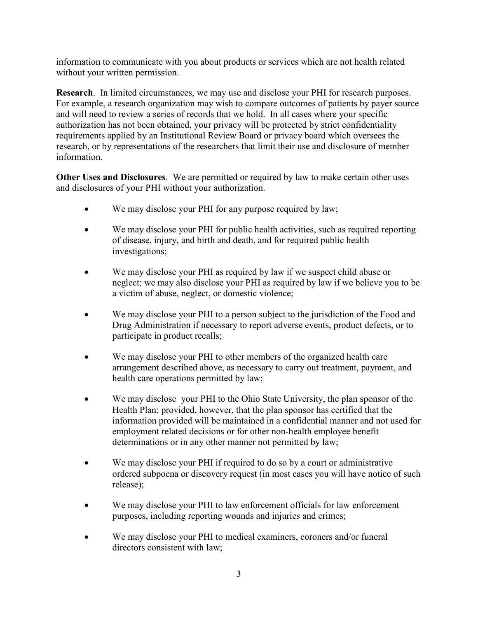information to communicate with you about products or services which are not health related without your written permission.

**Research**. In limited circumstances, we may use and disclose your PHI for research purposes. For example, a research organization may wish to compare outcomes of patients by payer source and will need to review a series of records that we hold. In all cases where your specific authorization has not been obtained, your privacy will be protected by strict confidentiality requirements applied by an Institutional Review Board or privacy board which oversees the research, or by representations of the researchers that limit their use and disclosure of member information.

**Other Uses and Disclosures**. We are permitted or required by law to make certain other uses and disclosures of your PHI without your authorization.

- We may disclose your PHI for any purpose required by law;
- We may disclose your PHI for public health activities, such as required reporting of disease, injury, and birth and death, and for required public health investigations;
- We may disclose your PHI as required by law if we suspect child abuse or neglect; we may also disclose your PHI as required by law if we believe you to be a victim of abuse, neglect, or domestic violence;
- We may disclose your PHI to a person subject to the jurisdiction of the Food and Drug Administration if necessary to report adverse events, product defects, or to participate in product recalls;
- We may disclose your PHI to other members of the organized health care arrangement described above, as necessary to carry out treatment, payment, and health care operations permitted by law;
- We may disclose your PHI to the Ohio State University, the plan sponsor of the Health Plan; provided, however, that the plan sponsor has certified that the information provided will be maintained in a confidential manner and not used for employment related decisions or for other non-health employee benefit determinations or in any other manner not permitted by law;
- We may disclose your PHI if required to do so by a court or administrative ordered subpoena or discovery request (in most cases you will have notice of such release);
- We may disclose your PHI to law enforcement officials for law enforcement purposes, including reporting wounds and injuries and crimes;
- We may disclose your PHI to medical examiners, coroners and/or funeral directors consistent with law;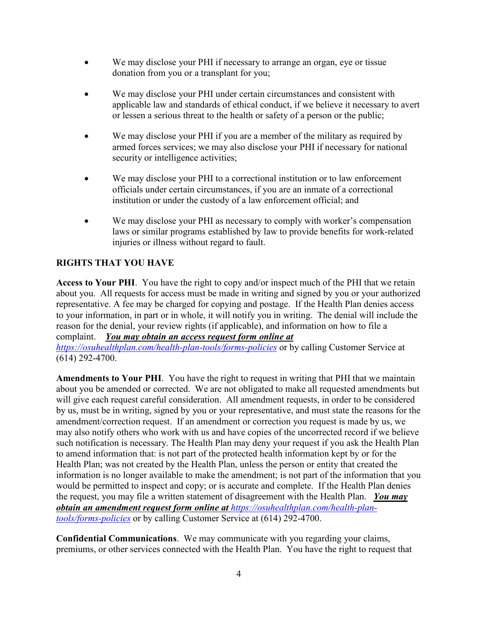- We may disclose your PHI if necessary to arrange an organ, eye or tissue donation from you or a transplant for you;
- We may disclose your PHI under certain circumstances and consistent with applicable law and standards of ethical conduct, if we believe it necessary to avert or lessen a serious threat to the health or safety of a person or the public;
- We may disclose your PHI if you are a member of the military as required by armed forces services; we may also disclose your PHI if necessary for national security or intelligence activities;
- We may disclose your PHI to a correctional institution or to law enforcement officials under certain circumstances, if you are an inmate of a correctional institution or under the custody of a law enforcement official; and
- We may disclose your PHI as necessary to comply with worker's compensation laws or similar programs established by law to provide benefits for work-related injuries or illness without regard to fault.

# **RIGHTS THAT YOU HAVE**

**Access to Your PHI**. You have the right to copy and/or inspect much of the PHI that we retain about you. All requests for access must be made in writing and signed by you or your authorized representative. A fee may be charged for copying and postage. If the Health Plan denies access to your information, in part or in whole, it will notify you in writing. The denial will include the reason for the denial, your review rights (if applicable), and information on how to file a complaint. *You may obtain an access request form online at* 

*<https://osuhealthplan.com/health-plan-tools/forms-policies>* or by calling Customer Service at (614) 292-4700.

**Amendments to Your PHI**. You have the right to request in writing that PHI that we maintain about you be amended or corrected. We are not obligated to make all requested amendments but will give each request careful consideration. All amendment requests, in order to be considered by us, must be in writing, signed by you or your representative, and must state the reasons for the amendment/correction request. If an amendment or correction you request is made by us, we may also notify others who work with us and have copies of the uncorrected record if we believe such notification is necessary. The Health Plan may deny your request if you ask the Health Plan to amend information that: is not part of the protected health information kept by or for the Health Plan; was not created by the Health Plan, unless the person or entity that created the information is no longer available to make the amendment; is not part of the information that you would be permitted to inspect and copy; or is accurate and complete. If the Health Plan denies the request, you may file a written statement of disagreement with the Health Plan. *You may obtain an amendment request form online at [https://osuhealthplan.com/health-plan](https://osuhealthplan.com/health-plan-tools/forms-policies)[tools/forms-policies](https://osuhealthplan.com/health-plan-tools/forms-policies)* or by calling Customer Service at (614) 292-4700.

**Confidential Communications**. We may communicate with you regarding your claims, premiums, or other services connected with the Health Plan. You have the right to request that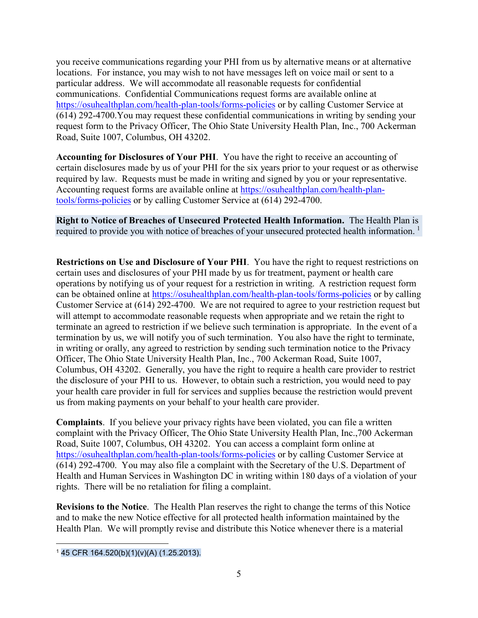you receive communications regarding your PHI from us by alternative means or at alternative locations. For instance, you may wish to not have messages left on voice mail or sent to a particular address. We will accommodate all reasonable requests for confidential communications. Confidential Communications request forms are available online at <https://osuhealthplan.com/health-plan-tools/forms-policies> or by calling Customer Service at (614) 292-4700.You may request these confidential communications in writing by sending your request form to the Privacy Officer, The Ohio State University Health Plan, Inc., 700 Ackerman Road, Suite 1007, Columbus, OH 43202.

**Accounting for Disclosures of Your PHI**. You have the right to receive an accounting of certain disclosures made by us of your PHI for the six years prior to your request or as otherwise required by law. Requests must be made in writing and signed by you or your representative. Accounting request forms are available online at [https://osuhealthplan.com/health-plan](https://osuhealthplan.com/health-plan-tools/forms-policies)[tools/forms-policies](https://osuhealthplan.com/health-plan-tools/forms-policies) or by calling Customer Service at (614) 292-4700.

**Right to Notice of Breaches of Unsecured Protected Health Information.** The Health Plan is required to provide you with notice of breaches of your unsecured protected health information.<sup>[1](#page-4-0)</sup>

**Restrictions on Use and Disclosure of Your PHI**. You have the right to request restrictions on certain uses and disclosures of your PHI made by us for treatment, payment or health care operations by notifying us of your request for a restriction in writing. A restriction request form can be obtained online at<https://osuhealthplan.com/health-plan-tools/forms-policies> or by calling Customer Service at (614) 292-4700. We are not required to agree to your restriction request but will attempt to accommodate reasonable requests when appropriate and we retain the right to terminate an agreed to restriction if we believe such termination is appropriate. In the event of a termination by us, we will notify you of such termination. You also have the right to terminate, in writing or orally, any agreed to restriction by sending such termination notice to the Privacy Officer, The Ohio State University Health Plan, Inc., 700 Ackerman Road, Suite 1007, Columbus, OH 43202. Generally, you have the right to require a health care provider to restrict the disclosure of your PHI to us. However, to obtain such a restriction, you would need to pay your health care provider in full for services and supplies because the restriction would prevent us from making payments on your behalf to your health care provider.

**Complaints**. If you believe your privacy rights have been violated, you can file a written complaint with the Privacy Officer, The Ohio State University Health Plan, Inc.,700 Ackerman Road, Suite 1007, Columbus, OH 43202. You can access a complaint form online at <https://osuhealthplan.com/health-plan-tools/forms-policies> or by calling Customer Service at (614) 292-4700. You may also file a complaint with the Secretary of the U.S. Department of Health and Human Services in Washington DC in writing within 180 days of a violation of your rights. There will be no retaliation for filing a complaint.

**Revisions to the Notice**. The Health Plan reserves the right to change the terms of this Notice and to make the new Notice effective for all protected health information maintained by the Health Plan. We will promptly revise and distribute this Notice whenever there is a material

<span id="page-4-0"></span> $\overline{a}$ <sup>1</sup> 45 CFR 164.520(b)(1)(v)(A) (1.25.2013).